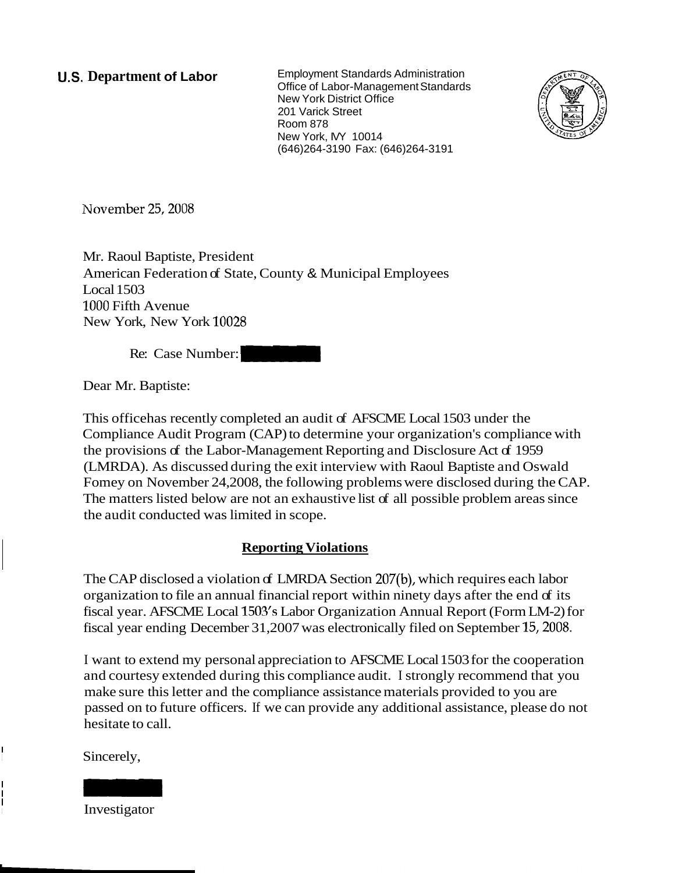**U.S. Department of Labor Employment Standards Administration** Office of Labor-Management Standards New York District Office 201 Varick Street Room 878 New York, MY 10014 (646)264-3190 Fax: (646)264-3191



Mr. Raoul Baptiste, President American Federation of State, County & Municipal Employees Local 1503 1000 Fifth Avenue New York, New York 10028 Room s/s<br>
New York, MY 10014<br>
(646)264-3190 Fax: (646)26<br>
3.5, 2008<br>
aptiste, President<br>
ederation of State, County & Municipal Employence<br>
New York 10028<br>
Case Number:

Re: Case Number:

Dear Mr. Baptiste:

This office has recently completed an audit of AFSCME Local 1503 under the Compliance Audit Program (CAP) to determine your organization's compliance with the provisions of the Labor-Management Reporting and Disclosure Act of 1959 (LMRDA). As discussed during the exit interview with Raoul Baptiste and Oswald Fomey on November 24,2008, the following problems were disclosed during the CAP. The matters listed below are not an exhaustive list of all possible problem areas since the audit conducted was limited in scope.

## **Reporting Violations**

The CAP disclosed a violation of LMRDA Section 207(b), which requires each labor organization to file an annual financial report within ninety days after the end of its fiscal year. AFSCME Local 1503's Labor Organization Annual Report (Form LM-2) for fiscal year ending December 31,2007 was electronically filed on September 15,2008.

I want to extend my personal appreciation to AFSCME Local 1503 for the cooperation and courtesy extended during this compliance audit. I strongly recommend that you make sure this letter and the compliance assistance materials provided to you are passed on to future officers. If we can provide any additional assistance, please do not hesitate to call. The CAP disclosed a violation<br>organization to file an annual<br>fiscal year. AFSCME Local 15(<br>fiscal year ending December 3<br>I want to extend my personal<br>and courtesy extended during<br>make sure this letter and the c<br>passed on t

Sincerely,